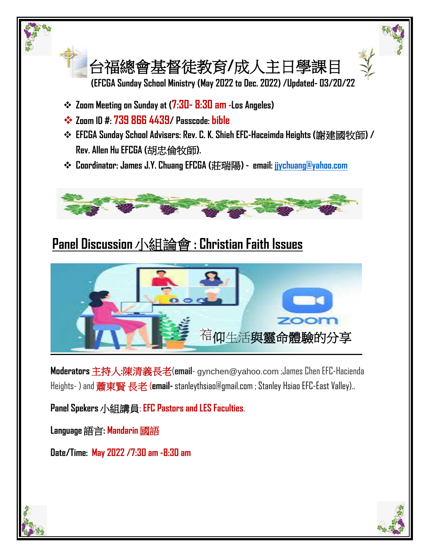

## **Panel Discussion**小組論會 **: Christian Faith Issues**



**Moderators**主持人**:**陳清義長老(**email**- gynchen@yahoo.com ;James Chen EFC-Hacienda Heights- ) and 蕭東賢 長老 (**email-** stanleythsiao@gmail.com ; Stanley Hsiao EFC-East Valley)..

**Panel Spekers**小組講員: **EFC Pastors and LES Faculties**.

**Language**語言**: Mandarin** 國語

**Date/Time: May 2022 /7:30 am -8:30 am**

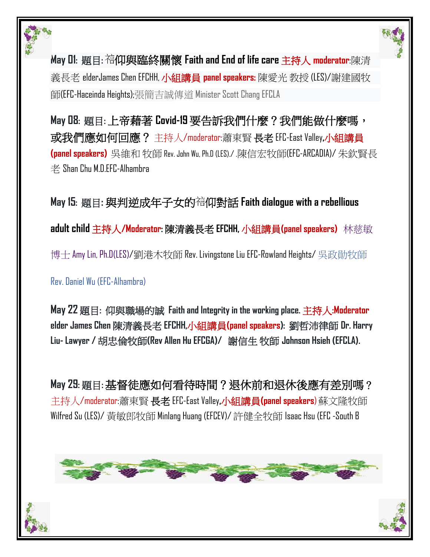

**May 01:** 題目**:** 仰與臨終關懷 **Faith and End of life care** 主持人 **moderator**:陳清 義長老 elderJames Chen EFCHH, 小組講員 **panel speakers:** 陳愛光 教授 (LES)/謝建國牧 師(EFC-Haceinda Heights);張簡吉誠傳道 Minister Scott Chang EFCLA

**May 08:** 題目**:** 上帝藉著 **Covid-19** 要告訴我們什麼?我們能做什麼嗎, 或我們應如何回應? 主持人/moderator:蕭東賢 長老 EFC-East Valley**,**小組講員 **(panel speakers)** 吳維和 牧師 Rev. John Wu, Ph.D (LES)./ .陳信宏牧師(EFC-ARCADIA)/ 朱欽賢長  $\#$  Shan Chu M.D.EFC-Alhambra

**May 15:** 題目**:** 與判逆成年子女的 仰對話 **Faith dialogue with a rebellious adult child** 主持人**/Moderator:** 陳清義長老 **EFCHH,** 小組講員**(panel speakers)** 林慈敏 博士 Amy Lin, Ph.D(LES)/劉港木牧師 Rev. Livingstone Liu EFC-Rowland Heights/ 吳政勛牧師 Rev. Daniel Wu (EFC-Alhambra)

**May 22** 題目**:** 仰與職場的誠 **Faith and Integrity in the working place.** 主持人**:Moderator elder James Chen** 陳清義長老 **EFCHH,**小組講員**(panel speakers):** 劉哲沛律師 **Dr. Harry Liu- Lawyer /** 胡忠倫牧師**(Rev Allen Hu EFCGA)/** 謝信生 牧師 **Johnson Hsieh (EFCLA).** 

**May 29:** 題目**:** 基督徒應如何看待時間?退休前和退休後應有差別嗎? 主持人/moderator:蕭東賢 長老 EFC-East Valley**,**小組講員**(panel speakers**)蘇文隆牧師 Wilfred Su (LES)/ 黃敏郎牧師 Minlang Huang (EFCEV)/ 許健全牧師 Isaac Hsu (EFC -South B



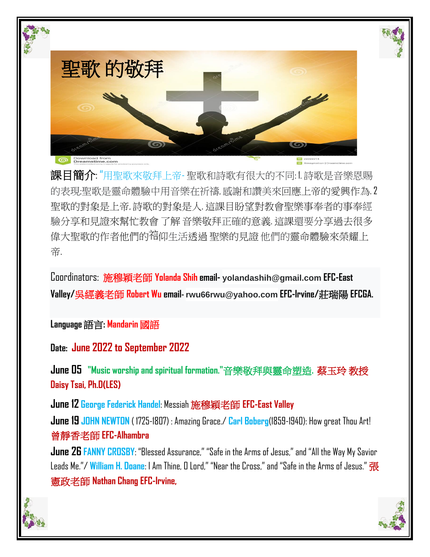

課目簡介: "用聖歌來敬拜上帝- 聖歌和詩歌有很大的不同: 1. 詩歌是音樂恩賜 的表現;聖歌是靈命體驗中用音樂在祈禱,感謝和讚美來回應上帝的愛興作為. 2 聖歌的對象是上帝, 詩歌的對象是人. 這課目盼望對教會聖樂事奉者的事奉經 驗分享和見證來幫忙教會 了解 音樂敬拜正確的意義. 這課還要分享過去很多 偉大聖歌的作者他們的宿仰生活透過 聖樂的見證 他們的靈命體驗來榮耀上 帝.

Coordinators: 施穆穎老師 **Yolanda Shih email- yolandashih@gmail.com EFC-East Valley/**吳經義老師 **Robert Wu email- rwu66rwu@yahoo.com EFC-Irvine/**莊瑞陽 **EFCGA.**

**Language**語言**: Mandarin** 國語

**Date: June 2022 to September 2022**

**June 05 "Music worship and spiritual formation."**音樂敬拜與靈命塑造**.** 蔡玉玲 教授 **Daisy Tsai, Ph.D(LES)**

**June 12 George Federick Handel**: Messiah 施穆穎老師 **EFC-East Valley** 

**June 19 JOHN NEWTON** ( 1725-1807) : Amazing Grace./ **Carl Boberg**(1859-1940): How great Thou Art! 曾靜香老師 **EFC-Alhambra**

**June 26 FANNY CROSBY**: "Blessed Assurance," "Safe in the Arms of Jesus," and "All the Way My Savior Leads Me."/ **William H. Doane**: I Am Thine, O Lord," "Near the Cross," and "Safe in the Arms of Jesus." 張 憲政老師 **Nathan Chang EFC-Irvine,**



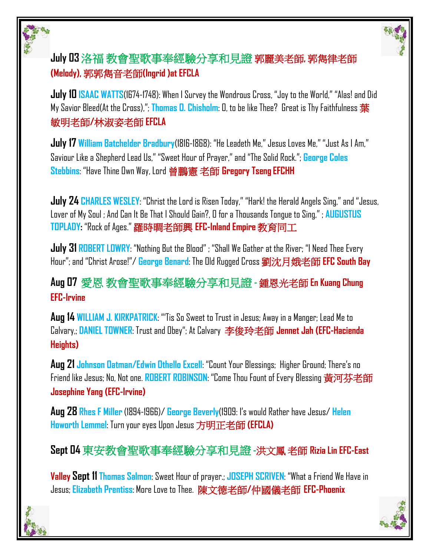

## **July 03** 洛福 教會聖歌事奉經驗分享和見證 郭麗美老師**,** 郭雋律老師 **(Melody),** 郭郭雋音老師**(Ingrid )at EFCLA**

**July 10 ISAAC WATTS**(1674-1748): When I Survey the Wondrous Cross, "Joy to the World," "Alas! and Did My Savior Bleed(At the Cross),"; **Thomas O. Chisholm**: O, to be like Thee? Great is Thy Faithfulness 葉 敏明老師**/**林淑姿老師 **EFCLA**

**July 17 William Batchelder Bradbury**(1816-1868): "He Leadeth Me," Jesus Loves Me," "Just As I Am," Saviour Like a Shepherd Lead Us," "Sweet Hour of Prayer," and "The Solid Rock."; **George Coles Stebbins**: "Have Thine Own Way, Lord 曾鵬憲 老師 **Gregory Tseng EFCHH** 

**July 24 CHARLES WESLEY**: "Christ the Lord is Risen Today," "Hark! the Herald Angels Sing," and "Jesus, Lover of My Soul ; And Can It Be That I Should Gain?, O for a Thousands Tongue to Sing," ; **AUGUSTUS TOPLADY:** "Rock of Ages." 羅時晭老師興 **EFC-Inland Empire** 教育同工

**July 31 ROBERT LOWRY**: "Nothing But the Blood" ; "Shall We Gather at the River; "I Need Thee Every Hour"; and "Christ Arose!"/ **George Benard**: The Old Rugged Cross 劉沈月娥老師 **EFC South Bay**

**Aug 07** 愛恩 教會聖歌事奉經驗分享和見證 **-** 鍾恩光老師 **En Kuang Chung EFC-Irvine** 

**Aug 14 WILLIAM J. KIRKPATRICK**: "'Tis So Sweet to Trust in Jesus; Away in a Manger; Lead Me to Calvary,; **DANIEL TOWNER**: Trust and Obey"; At Calvary 李俊玲老師 **Jennet Jah (EFC-Hacienda Heights)**

**Aug 21 Johnson Oatman/Edwin Othello Excell**: "Count Your Blessings; Higher Ground; There's no Friend like Jesus; No, Not one. **ROBERT ROBINSON**: "Come Thou Fount of Every Blessing 黃河芬老師 **Josephine Yang (EFC-Irvine)**

**Aug 28 Rhes F Miller** (1894-1966)/ **George Beverly**(1909: I's would Rather have Jesus/ **Helen Howorth Lemmel**: Turn your eyes Upon Jesus 方明正老師 **(EFCLA)**

**Sept 04** 東安教會聖歌事奉經驗分享和見證 **-**洪文鳳 老師 **Rizia Lin EFC-East** 

**Valley Sept 11Thomas Salmon**: Sweet Hour of prayer.; **JOSEPH SCRIVEN**: "What a Friend We Have in Jesus; **Elizabeth Prentiss**: More Love to Thee. 陳文德老師**/**仲國儀老師 **EFC-Phoenix**

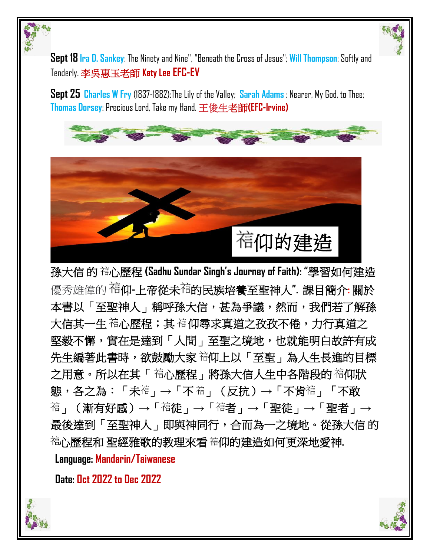**Sept 18 Ira D. Sankey**: The Ninety and Nine", "Beneath the Cross of Jesus"; **Will Thompson**: Softly and Tenderly. 李吳惠玉老師 **Katy Lee EFC-EV**

**Sept 25 Charles W Fry** (1837-1882):The Lily of the Valley; **Sarah Adams** : Nearer, My God, to Thee; **Thomas Dorsey**: Precious Lord, Take my Hand. 王俊生老師**(EFC-Irvine)** 



孫大信 的 心歷程 **(Sadhu Sundar Singh's Journey of Faith): "**學習如何建造 優秀雄偉的 仰**-**上帝從未 的民族培養至聖神人**".** 課目簡介**:** 關於 本書以「至聖神人」稱呼孫大信,甚為爭議,然而,我們若了解孫 大信其一生 福心歷程;其 福仰尋求真道之孜孜不倦,力行真道之 堅毅不懈,實在是達到「人間」至聖之境地,也就能明白故許有成 先生編著此書時,欲鼓勵大家 宿仰上以「至聖」為人生長進的目標 之用意。所以在其「 宿心歷程」將孫大信人生中各階段的 宿仰狀 態,各之為:「未<sup>袺</sup>」→「不 <sup>結</sup>」(反抗)→「不肯<sup>袺</sup>」「不敢 」(漸有好感)**→**「 徒」**→**「 者」**→**「聖徒」**→**「聖者」**→** 最後達到「至聖神人」即與神同行,合而為一之境地。從孫大信 的 心歷程和 聖經雅歌的教理來看 仰的建造如何更深地愛神**.**

 **Language: Mandarin/Taiwanese**

 **Date: Oct 2022 to Dec 2022**



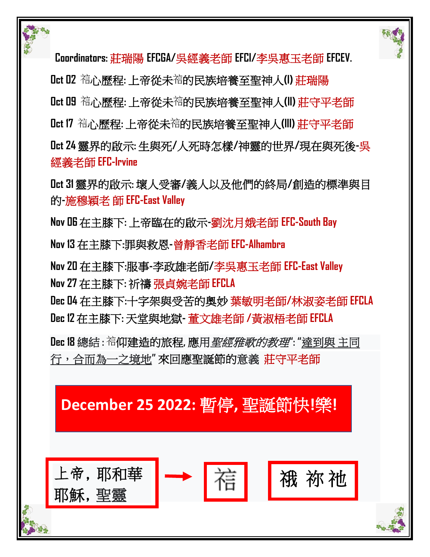



 **Coordinators:** 莊瑞陽 **EFCGA/**吳經義老師 **EFCI/**李吳惠玉老師 **EFCEV.**

Lut 02 <sup>袺</sup>心歷程: 上帝從未<sup>宿</sup>的民族培養至聖神人(I) 莊瑞陽

Oct 09 福心歷程: 上帝從未<sup>福</sup>的民族培養至聖神人(II) 莊守平老師

Oct 17 福心歷程: 上帝從未<sup>宿</sup>的民族培養至聖神人(III) 莊守平老師

**Oct 24** 靈界的啟示**:** 生與死**/**人死時怎樣**/**神靈的世界**/**現在與死後**-**吳 經義老師 **EFC-Irvine** 

**Oct 31** 靈界的啟示**:** 壞人受審**/**義人以及他們的終局**/**創造的標準與目 的**-**施穆穎老 師 **EFC-East Valley** 

**Nov 06** 在主膝下**:** 上帝臨在的啟示**-**劉沈月娥老師 **EFC-South Bay**

**Nov 13** 在主膝下**:**罪與救恩**-**曾靜香老師 **EFC-Alhambra**

**Nov 20** 在主膝下**:**服事**-**李政雄老師**/**李吳惠玉老師 **EFC-East Valley Nov 27** 在主膝下**:** 祈禱 張貞婉老師 **EFCLA**

**Dec 04** 在主膝下**:**十字架與受苦的奧妙 葉敏明老師**/**林淑姿老師 **EFCLA Dec 12** 在主膝下**:** 天堂與地獄**-** 董文雄老師 **/**黃淑梧老師 **EFCLA** 

**Dec 18** 總結 **:** 仰建造的旅程**,** 應用聖經雅歌的教理**": "**達到與 主同 行,合而為一之境地**"** 來回應聖誕節的意義莊守平老師

## **December 25 2022:** 暫停**,** 聖誕節快**!**樂**!**